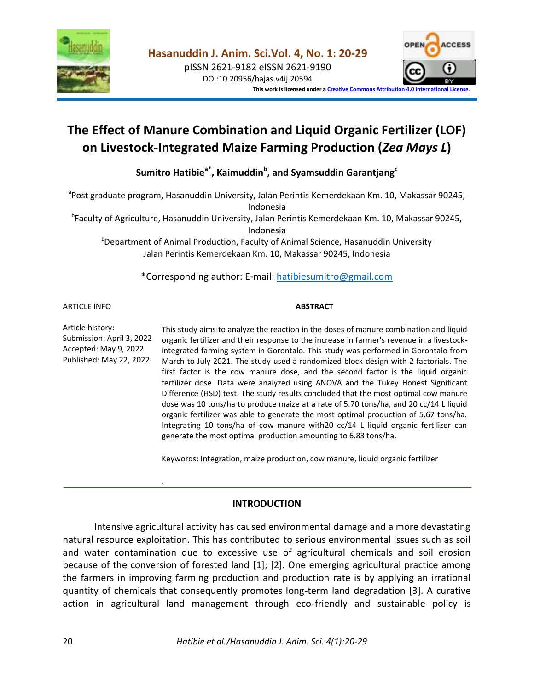

pISSN 2621-9182 eISSN 2621-9190 DOI:10.20956/hajas.v4ij.20594



**This work is licensed under [a Creative Commons Attribution 4.0 International License](http://creativecommons.org/licenses/by/4.0/)**.

# **The Effect of Manure Combination and Liquid Organic Fertilizer (LOF) on Livestock-Integrated Maize Farming Production (***Zea Mays L***)**

**Sumitro Hatibiea\*, Kaimuddin<sup>b</sup> , and Syamsuddin Garantjang<sup>c</sup>**

<sup>a</sup>Post graduate program, Hasanuddin University, Jalan Perintis Kemerdekaan Km. 10, Makassar 90245, Indonesia

b Faculty of Agriculture, Hasanuddin University, Jalan Perintis Kemerdekaan Km. 10, Makassar 90245, Indonesia

<sup>c</sup>Department of Animal Production, Faculty of Animal Science, Hasanuddin University Jalan Perintis Kemerdekaan Km. 10, Makassar 90245, Indonesia

\*Corresponding author: E-mail: [hatibiesumitro@gmail.com](mailto:hatibiesumitro@gmail.com)

ARTICLE INFO

#### **ABSTRACT**

Article history: Submission: April 3, 2022 Accepted: May 9, 2022 Published: May 22, 2022

.

This study aims to analyze the reaction in the doses of manure combination and liquid organic fertilizer and their response to the increase in farmer's revenue in a livestockintegrated farming system in Gorontalo. This study was performed in Gorontalo from March to July 2021. The study used a randomized block design with 2 factorials. The first factor is the cow manure dose, and the second factor is the liquid organic fertilizer dose. Data were analyzed using ANOVA and the Tukey Honest Significant Difference (HSD) test. The study results concluded that the most optimal cow manure dose was 10 tons/ha to produce maize at a rate of 5.70 tons/ha, and 20 cc/14 L liquid organic fertilizer was able to generate the most optimal production of 5.67 tons/ha. Integrating 10 tons/ha of cow manure with20 cc/14 L liquid organic fertilizer can generate the most optimal production amounting to 6.83 tons/ha.

Keywords: Integration, maize production, cow manure, liquid organic fertilizer

# **INTRODUCTION**

Intensive agricultural activity has caused environmental damage and a more devastating natural resource exploitation. This has contributed to serious environmental issues such as soil and water contamination due to excessive use of agricultural chemicals and soil erosion because of the conversion of forested land [1]; [2]. One emerging agricultural practice among the farmers in improving farming production and production rate is by applying an irrational quantity of chemicals that consequently promotes long-term land degradation [3]. A curative action in agricultural land management through eco-friendly and sustainable policy is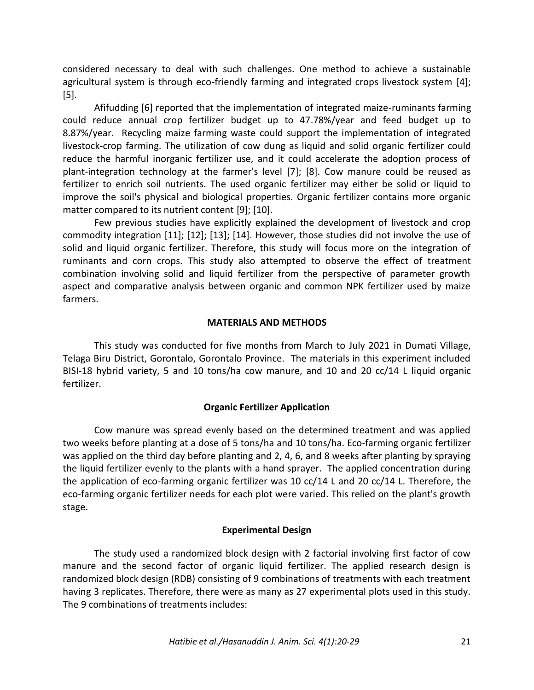considered necessary to deal with such challenges. One method to achieve a sustainable agricultural system is through eco-friendly farming and integrated crops livestock system [4]; [5].

Afifudding [6] reported that the implementation of integrated maize-ruminants farming could reduce annual crop fertilizer budget up to 47.78%/year and feed budget up to 8.87%/year. Recycling maize farming waste could support the implementation of integrated livestock-crop farming. The utilization of cow dung as liquid and solid organic fertilizer could reduce the harmful inorganic fertilizer use, and it could accelerate the adoption process of plant-integration technology at the farmer's level [7]; [8]. Cow manure could be reused as fertilizer to enrich soil nutrients. The used organic fertilizer may either be solid or liquid to improve the soil's physical and biological properties. Organic fertilizer contains more organic matter compared to its nutrient content [9]; [10].

Few previous studies have explicitly explained the development of livestock and crop commodity integration [11]; [12]; [13]; [14]. However, those studies did not involve the use of solid and liquid organic fertilizer. Therefore, this study will focus more on the integration of ruminants and corn crops. This study also attempted to observe the effect of treatment combination involving solid and liquid fertilizer from the perspective of parameter growth aspect and comparative analysis between organic and common NPK fertilizer used by maize farmers.

## **MATERIALS AND METHODS**

This study was conducted for five months from March to July 2021 in Dumati Village, Telaga Biru District, Gorontalo, Gorontalo Province. The materials in this experiment included BISI-18 hybrid variety, 5 and 10 tons/ha cow manure, and 10 and 20 cc/14 L liquid organic fertilizer.

## **Organic Fertilizer Application**

Cow manure was spread evenly based on the determined treatment and was applied two weeks before planting at a dose of 5 tons/ha and 10 tons/ha. Eco-farming organic fertilizer was applied on the third day before planting and 2, 4, 6, and 8 weeks after planting by spraying the liquid fertilizer evenly to the plants with a hand sprayer. The applied concentration during the application of eco-farming organic fertilizer was 10 cc/14 L and 20 cc/14 L. Therefore, the eco-farming organic fertilizer needs for each plot were varied. This relied on the plant's growth stage.

## **Experimental Design**

The study used a randomized block design with 2 factorial involving first factor of cow manure and the second factor of organic liquid fertilizer. The applied research design is randomized block design (RDB) consisting of 9 combinations of treatments with each treatment having 3 replicates. Therefore, there were as many as 27 experimental plots used in this study. The 9 combinations of treatments includes: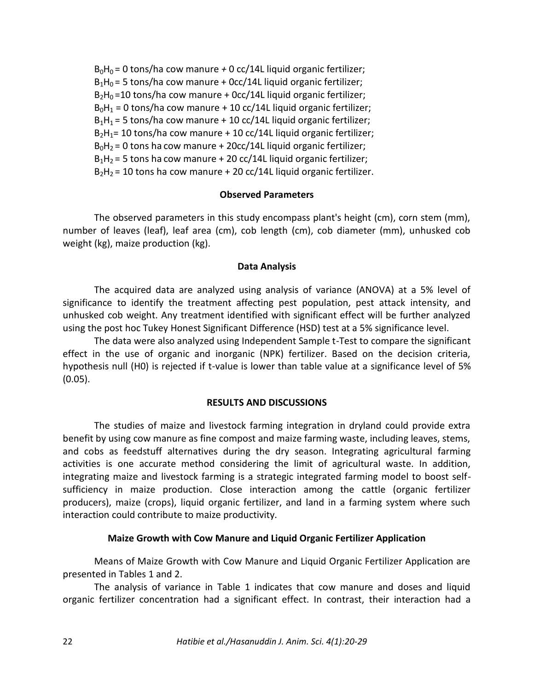$B_0H_0 = 0$  tons/ha cow manure  $\pm 0$  cc/14L liquid organic fertilizer;  $B_1H_0 = 5$  tons/ha cow manure + 0cc/14L liquid organic fertilizer;  $B_2H_0 = 10$  tons/ha cow manure + 0cc/14L liquid organic fertilizer;  $B_0H_1 = 0$  tons/ha cow manure + 10 cc/14L liquid organic fertilizer;  $B_1H_1 = 5$  tons/ha cow manure + 10 cc/14L liquid organic fertilizer;  $B_2H_1= 10$  tons/ha cow manure + 10 cc/14L liquid organic fertilizer;  $B_0H_2 = 0$  tons ha cow manure + 20cc/14L liquid organic fertilizer;  $B_1H_2 = 5$  tons ha cow manure + 20 cc/14L liquid organic fertilizer;  $B_2H_2$  = 10 tons ha cow manure + 20 cc/14L liquid organic fertilizer.

# **Observed Parameters**

The observed parameters in this study encompass plant's height (cm), corn stem (mm), number of leaves (leaf), leaf area (cm), cob length (cm), cob diameter (mm), unhusked cob weight (kg), maize production (kg).

## **Data Analysis**

The acquired data are analyzed using analysis of variance (ANOVA) at a 5% level of significance to identify the treatment affecting pest population, pest attack intensity, and unhusked cob weight. Any treatment identified with significant effect will be further analyzed using the post hoc Tukey Honest Significant Difference (HSD) test at a 5% significance level.

The data were also analyzed using Independent Sample t-Test to compare the significant effect in the use of organic and inorganic (NPK) fertilizer. Based on the decision criteria, hypothesis null (H0) is rejected if t-value is lower than table value at a significance level of 5% (0.05).

## **RESULTS AND DISCUSSIONS**

The studies of maize and livestock farming integration in dryland could provide extra benefit by using cow manure as fine compost and maize farming waste, including leaves, stems, and cobs as feedstuff alternatives during the dry season. Integrating agricultural farming activities is one accurate method considering the limit of agricultural waste. In addition, integrating maize and livestock farming is a strategic integrated farming model to boost selfsufficiency in maize production. Close interaction among the cattle (organic fertilizer producers), maize (crops), liquid organic fertilizer, and land in a farming system where such interaction could contribute to maize productivity.

## **Maize Growth with Cow Manure and Liquid Organic Fertilizer Application**

Means of Maize Growth with Cow Manure and Liquid Organic Fertilizer Application are presented in Tables 1 and 2.

The analysis of variance in Table 1 indicates that cow manure and doses and liquid organic fertilizer concentration had a significant effect. In contrast, their interaction had a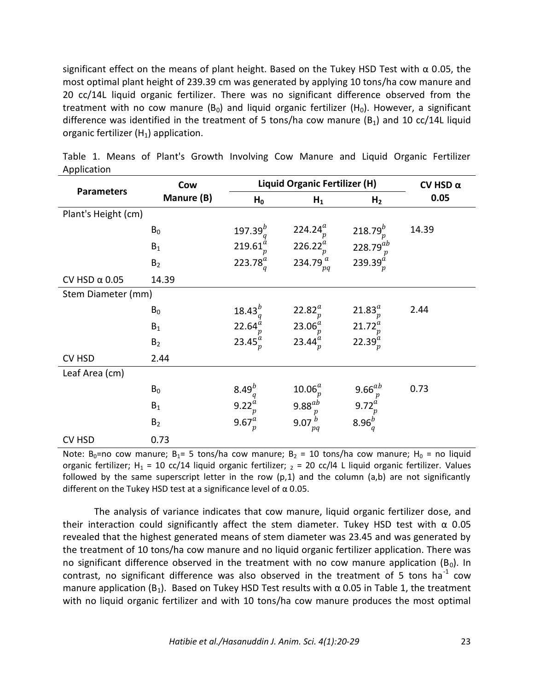significant effect on the means of plant height. Based on the Tukey HSD Test with  $\alpha$  0.05, the most optimal plant height of 239.39 cm was generated by applying 10 tons/ha cow manure and 20 cc/14L liquid organic fertilizer. There was no significant difference observed from the treatment with no cow manure ( $B_0$ ) and liquid organic fertilizer ( $H_0$ ). However, a significant difference was identified in the treatment of 5 tons/ha cow manure  $(B_1)$  and 10 cc/14L liquid organic fertilizer  $(H_1)$  application.

|                      | Cow            | <b>Liquid Organic Fertilizer (H)</b> | CV HSD $\alpha$     |                         |       |
|----------------------|----------------|--------------------------------------|---------------------|-------------------------|-------|
| <b>Parameters</b>    | Manure (B)     | $H_0$                                | $H_1$               | H <sub>2</sub>          | 0.05  |
| Plant's Height (cm)  |                |                                      |                     |                         |       |
|                      | $B_0$          | 197.39 $^{b}$                        | 224.24 $_{p}^{a}$   | $218.79^{b}$            | 14.39 |
|                      | $B_1$          | 219.61 <sup>a</sup>                  | 226.22 <sup>a</sup> | 228.79 $^{ab}$          |       |
|                      | B <sub>2</sub> | 223.78 $_{q}^{a}$                    | 234.79 $a$<br>pq    | 239.39 $_{p}^{\dot{a}}$ |       |
| CV HSD $\alpha$ 0.05 | 14.39          |                                      |                     |                         |       |
| Stem Diameter (mm)   |                |                                      |                     |                         |       |
|                      | $B_0$          | $18.43^{b}$                          | 22.82 <sup>a</sup>  | 21.83 <sup>a</sup>      | 2.44  |
|                      | $B_1$          | 22.64 <sup>a</sup>                   | 23.06 <sup>a</sup>  | $21.72^a$               |       |
|                      | B <sub>2</sub> | 23.45 $_{p}^{a}$                     | $23.44^a$           | 22.39 <sup>a</sup>      |       |
| CV HSD               | 2.44           |                                      |                     |                         |       |
| Leaf Area (cm)       |                |                                      |                     |                         |       |
|                      | $B_0$          | $8.49^{b}$                           | 10.06 <sup>a</sup>  | 9.66 $^{ab}$            | 0.73  |
|                      | $B_1$          | $9.22^{a}$                           | $9.88^{ab}$         | $9.72^{a}$              |       |
|                      | B <sub>2</sub> | 9.67 $_{p}^{a}$                      | 9.07<br>pq          | 8.96 $_{q}^{b}$         |       |
| CV HSD               | 0.73           |                                      |                     |                         |       |

Table 1. Means of Plant's Growth Involving Cow Manure and Liquid Organic Fertilizer Application

Note: B<sub>0</sub>=no cow manure; B<sub>1</sub>= 5 tons/ha cow manure; B<sub>2</sub> = 10 tons/ha cow manure; H<sub>0</sub> = no liquid organic fertilizer; H<sub>1</sub> = 10 cc/14 liquid organic fertilizer;  $<sub>2</sub>$  = 20 cc/l4 L liquid organic fertilizer. Values</sub> followed by the same superscript letter in the row  $(p,1)$  and the column  $(a,b)$  are not significantly different on the Tukey HSD test at a significance level of  $\alpha$  0.05.

The analysis of variance indicates that cow manure, liquid organic fertilizer dose, and their interaction could significantly affect the stem diameter. Tukey HSD test with  $\alpha$  0.05 revealed that the highest generated means of stem diameter was 23.45 and was generated by the treatment of 10 tons/ha cow manure and no liquid organic fertilizer application. There was no significant difference observed in the treatment with no cow manure application ( $B_0$ ). In contrast, no significant difference was also observed in the treatment of 5 tons ha<sup>-1</sup> cow manure application (B<sub>1</sub>). Based on Tukey HSD Test results with  $\alpha$  0.05 in Table 1, the treatment with no liquid organic fertilizer and with 10 tons/ha cow manure produces the most optimal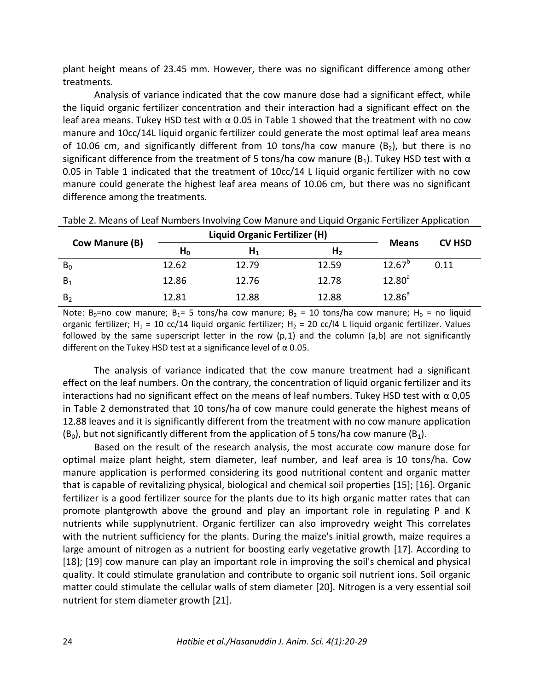plant height means of 23.45 mm. However, there was no significant difference among other treatments.

Analysis of variance indicated that the cow manure dose had a significant effect, while the liquid organic fertilizer concentration and their interaction had a significant effect on the leaf area means. Tukey HSD test with  $\alpha$  0.05 in Table 1 showed that the treatment with no cow manure and 10cc/14L liquid organic fertilizer could generate the most optimal leaf area means of 10.06 cm, and significantly different from 10 tons/ha cow manure  $(B_2)$ , but there is no significant difference from the treatment of 5 tons/ha cow manure ( $B_1$ ). Tukey HSD test with  $\alpha$ 0.05 in Table 1 indicated that the treatment of 10cc/14 L liquid organic fertilizer with no cow manure could generate the highest leaf area means of 10.06 cm, but there was no significant difference among the treatments.

| Cow Manure (B) |       | <b>Liquid Organic Fertilizer (H)</b> | <b>Means</b>   | <b>CV HSD</b>   |      |
|----------------|-------|--------------------------------------|----------------|-----------------|------|
|                | $H_0$ | $H_1$                                | H <sub>2</sub> |                 |      |
| $B_0$          | 12.62 | 12.79                                | 12.59          | $12.67^{\circ}$ | 0.11 |
| $B_1$          | 12.86 | 12.76                                | 12.78          | $12.80^{a}$     |      |
| B <sub>2</sub> | 12.81 | 12.88                                | 12.88          | $12.86^{a}$     |      |

Table 2. Means of Leaf Numbers Involving Cow Manure and Liquid Organic Fertilizer Application

Note:  $B_0$ =no cow manure;  $B_1$ = 5 tons/ha cow manure;  $B_2$  = 10 tons/ha cow manure;  $H_0$  = no liquid organic fertilizer; H<sub>1</sub> = 10 cc/14 liquid organic fertilizer; H<sub>2</sub> = 20 cc/l4 L liquid organic fertilizer. Values followed by the same superscript letter in the row  $(p,1)$  and the column  $(a,b)$  are not significantly different on the Tukey HSD test at a significance level of  $\alpha$  0.05.

The analysis of variance indicated that the cow manure treatment had a significant effect on the leaf numbers. On the contrary, the concentration of liquid organic fertilizer and its interactions had no significant effect on the means of leaf numbers. Tukey HSD test with  $\alpha$  0,05 in Table 2 demonstrated that 10 tons/ha of cow manure could generate the highest means of 12.88 leaves and it is significantly different from the treatment with no cow manure application  $(B<sub>0</sub>)$ , but not significantly different from the application of 5 tons/ha cow manure  $(B<sub>1</sub>)$ .

Based on the result of the research analysis, the most accurate cow manure dose for optimal maize plant height, stem diameter, leaf number, and leaf area is 10 tons/ha. Cow manure application is performed considering its good nutritional content and organic matter that is capable of revitalizing physical, biological and chemical soil properties [15]; [16]. Organic fertilizer is a good fertilizer source for the plants due to its high organic matter rates that can promote plantgrowth above the ground and play an important role in regulating P and K nutrients while supplynutrient. Organic fertilizer can also improvedry weight This correlates with the nutrient sufficiency for the plants. During the maize's initial growth, maize requires a large amount of nitrogen as a nutrient for boosting early vegetative growth [17]. According to [18]; [19] cow manure can play an important role in improving the soil's chemical and physical quality. It could stimulate granulation and contribute to organic soil nutrient ions. Soil organic matter could stimulate the cellular walls of stem diameter [20]. Nitrogen is a very essential soil nutrient for stem diameter growth [21].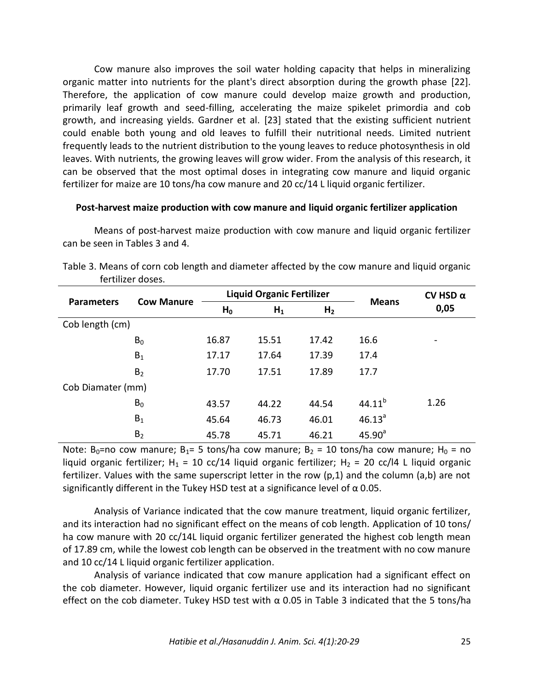Cow manure also improves the soil water holding capacity that helps in mineralizing organic matter into nutrients for the plant's direct absorption during the growth phase [22]. Therefore, the application of cow manure could develop maize growth and production, primarily leaf growth and seed-filling, accelerating the maize spikelet primordia and cob growth, and increasing yields. Gardner et al. [23] stated that the existing sufficient nutrient could enable both young and old leaves to fulfill their nutritional needs. Limited nutrient frequently leads to the nutrient distribution to the young leaves to reduce photosynthesis in old leaves. With nutrients, the growing leaves will grow wider. From the analysis of this research, it can be observed that the most optimal doses in integrating cow manure and liquid organic fertilizer for maize are 10 tons/ha cow manure and 20 cc/14 L liquid organic fertilizer.

#### **Post-harvest maize production with cow manure and liquid organic fertilizer application**

Means of post-harvest maize production with cow manure and liquid organic fertilizer can be seen in Tables 3 and 4.

| <b>Parameters</b> | <b>Cow Manure</b> | <b>Liquid Organic Fertilizer</b> |       |                |              | CV HSD $\alpha$          |
|-------------------|-------------------|----------------------------------|-------|----------------|--------------|--------------------------|
|                   |                   | $H_0$                            | $H_1$ | H <sub>2</sub> | <b>Means</b> | 0,05                     |
| Cob length (cm)   |                   |                                  |       |                |              |                          |
|                   | $B_0$             | 16.87                            | 15.51 | 17.42          | 16.6         | $\overline{\phantom{0}}$ |
|                   | $B_1$             | 17.17                            | 17.64 | 17.39          | 17.4         |                          |
|                   | B <sub>2</sub>    | 17.70                            | 17.51 | 17.89          | 17.7         |                          |
| Cob Diamater (mm) |                   |                                  |       |                |              |                          |
|                   | $B_0$             | 43.57                            | 44.22 | 44.54          | $44.11^{b}$  | 1.26                     |
|                   | $B_1$             | 45.64                            | 46.73 | 46.01          | $46.13^{a}$  |                          |
|                   | B <sub>2</sub>    | 45.78                            | 45.71 | 46.21          | $45.90^{a}$  |                          |

|                   | Table 3. Means of corn cob length and diameter affected by the cow manure and liquid organic |  |  |
|-------------------|----------------------------------------------------------------------------------------------|--|--|
| fertilizer doses. |                                                                                              |  |  |

Note: B<sub>0</sub>=no cow manure; B<sub>1</sub>= 5 tons/ha cow manure; B<sub>2</sub> = 10 tons/ha cow manure; H<sub>0</sub> = no liquid organic fertilizer; H<sub>1</sub> = 10 cc/14 liquid organic fertilizer; H<sub>2</sub> = 20 cc/l4 L liquid organic fertilizer. Values with the same superscript letter in the row (p,1) and the column (a,b) are not significantly different in the Tukey HSD test at a significance level of  $\alpha$  0.05.

Analysis of Variance indicated that the cow manure treatment, liquid organic fertilizer, and its interaction had no significant effect on the means of cob length. Application of 10 tons/ ha cow manure with 20 cc/14L liquid organic fertilizer generated the highest cob length mean of 17.89 cm, while the lowest cob length can be observed in the treatment with no cow manure and 10 cc/14 L liquid organic fertilizer application.

Analysis of variance indicated that cow manure application had a significant effect on the cob diameter. However, liquid organic fertilizer use and its interaction had no significant effect on the cob diameter. Tukey HSD test with  $\alpha$  0.05 in Table 3 indicated that the 5 tons/ha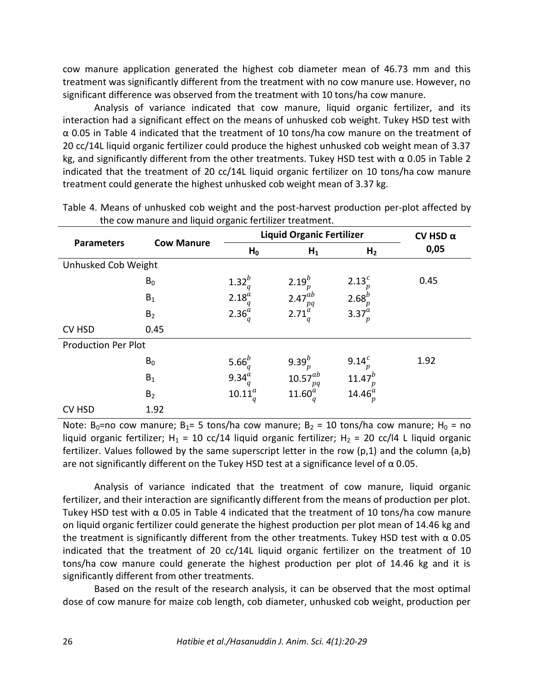cow manure application generated the highest cob diameter mean of 46.73 mm and this treatment was significantly different from the treatment with no cow manure use. However, no significant difference was observed from the treatment with 10 tons/ha cow manure.

Analysis of variance indicated that cow manure, liquid organic fertilizer, and its interaction had a significant effect on the means of unhusked cob weight. Tukey HSD test with α 0.05 in Table 4 indicated that the treatment of 10 tons/ha cow manure on the treatment of 20 cc/14L liquid organic fertilizer could produce the highest unhusked cob weight mean of 3.37 kg, and significantly different from the other treatments. Tukey HSD test with  $\alpha$  0.05 in Table 2 indicated that the treatment of 20 cc/14L liquid organic fertilizer on 10 tons/ha cow manure treatment could generate the highest unhusked cob weight mean of 3.37 kg.

| <b>Parameters</b>          | <b>Cow Manure</b> |                 | <b>Liquid Organic Fertilizer</b> | CV HSD $\alpha$  |      |
|----------------------------|-------------------|-----------------|----------------------------------|------------------|------|
|                            |                   | $H_0$           | $H_1$                            | H <sub>2</sub>   | 0,05 |
| Unhusked Cob Weight        |                   |                 |                                  |                  |      |
|                            | $B_0$             | $1.32^{b}$      | $2.19^{b}$                       | 2.13 $_{n}^{c}$  | 0.45 |
|                            | $B_1$             | $2.18_{q}^{a}$  | 2.47 $^{ab}$<br>pq               | 2.68 $_{n}^{b}$  |      |
|                            | B <sub>2</sub>    | $2.36_q^a$      | 2.71 <sup>a</sup>                | 3.37 $^{a}_{p}$  |      |
| <b>CV HSD</b>              | 0.45              |                 |                                  |                  |      |
| <b>Production Per Plot</b> |                   |                 |                                  |                  |      |
|                            | $B_0$             | 5.66 $_{a}^{b}$ | 9.39 $_{n}^{b}$                  | 9.14 $^{c}_{n}$  | 1.92 |
|                            | $B_1$             | 9.34 $a_a$      | $10.57^{ab}$<br>pq               | $11.47^{b}$      |      |
|                            | B <sub>2</sub>    | $10.11^{a}$     | $11.60^{a}$                      | 14.46 $_{p}^{a}$ |      |
| <b>CV HSD</b>              | 1.92              |                 |                                  |                  |      |

Table 4. Means of unhusked cob weight and the post-harvest production per-plot affected by the cow manure and liquid organic fertilizer treatment.

Note: B<sub>0</sub>=no cow manure; B<sub>1</sub>= 5 tons/ha cow manure; B<sub>2</sub> = 10 tons/ha cow manure; H<sub>0</sub> = no liquid organic fertilizer; H<sub>1</sub> = 10 cc/14 liquid organic fertilizer; H<sub>2</sub> = 20 cc/l4 L liquid organic fertilizer. Values followed by the same superscript letter in the row  $(p,1)$  and the column  $(a,b)$ are not significantly different on the Tukey HSD test at a significance level of  $\alpha$  0.05.

Analysis of variance indicated that the treatment of cow manure, liquid organic fertilizer, and their interaction are significantly different from the means of production per plot. Tukey HSD test with  $\alpha$  0.05 in Table 4 indicated that the treatment of 10 tons/ha cow manure on liquid organic fertilizer could generate the highest production per plot mean of 14.46 kg and the treatment is significantly different from the other treatments. Tukey HSD test with  $\alpha$  0.05 indicated that the treatment of 20 cc/14L liquid organic fertilizer on the treatment of 10 tons/ha cow manure could generate the highest production per plot of 14.46 kg and it is significantly different from other treatments.

Based on the result of the research analysis, it can be observed that the most optimal dose of cow manure for maize cob length, cob diameter, unhusked cob weight, production per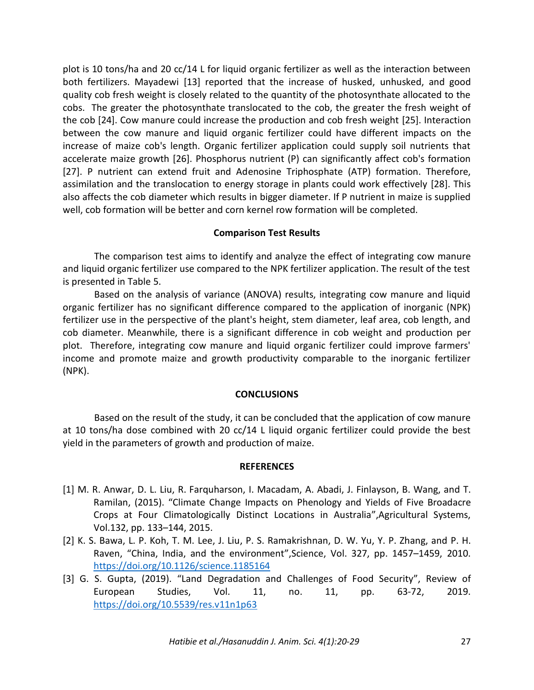plot is 10 tons/ha and 20 cc/14 L for liquid organic fertilizer as well as the interaction between both fertilizers. Mayadewi [13] reported that the increase of husked, unhusked, and good quality cob fresh weight is closely related to the quantity of the photosynthate allocated to the cobs. The greater the photosynthate translocated to the cob, the greater the fresh weight of the cob [24]. Cow manure could increase the production and cob fresh weight [25]. Interaction between the cow manure and liquid organic fertilizer could have different impacts on the increase of maize cob's length. Organic fertilizer application could supply soil nutrients that accelerate maize growth [26]. Phosphorus nutrient (P) can significantly affect cob's formation [27]. P nutrient can extend fruit and Adenosine Triphosphate (ATP) formation. Therefore, assimilation and the translocation to energy storage in plants could work effectively [28]. This also affects the cob diameter which results in bigger diameter. If P nutrient in maize is supplied well, cob formation will be better and corn kernel row formation will be completed.

# **Comparison Test Results**

The comparison test aims to identify and analyze the effect of integrating cow manure and liquid organic fertilizer use compared to the NPK fertilizer application. The result of the test is presented in Table 5.

Based on the analysis of variance (ANOVA) results, integrating cow manure and liquid organic fertilizer has no significant difference compared to the application of inorganic (NPK) fertilizer use in the perspective of the plant's height, stem diameter, leaf area, cob length, and cob diameter. Meanwhile, there is a significant difference in cob weight and production per plot. Therefore, integrating cow manure and liquid organic fertilizer could improve farmers' income and promote maize and growth productivity comparable to the inorganic fertilizer (NPK).

## **CONCLUSIONS**

Based on the result of the study, it can be concluded that the application of cow manure at 10 tons/ha dose combined with 20 cc/14 L liquid organic fertilizer could provide the best yield in the parameters of growth and production of maize.

## **REFERENCES**

- [1] M. R. Anwar, D. L. Liu, R. Farquharson, I. Macadam, A. Abadi, J. Finlayson, B. Wang, and T. Ramilan, (2015). "Climate Change Impacts on Phenology and Yields of Five Broadacre Crops at Four Climatologically Distinct Locations in Australia",Agricultural Systems, Vol.132, pp. 133–144, 2015.
- [2] K. S. Bawa, L. P. Koh, T. M. Lee, J. Liu, P. S. Ramakrishnan, D. W. Yu, Y. P. Zhang, and P. H. Raven, "China, India, and the environment",Science, Vol. 327, pp. 1457–1459, 2010. <https://doi.org/10.1126/science.1185164>
- [3] G. S. Gupta, (2019). "Land Degradation and Challenges of Food Security", Review of European Studies, Vol. 11, no. 11, pp. 63-72, 2019. <https://doi.org/10.5539/res.v11n1p63>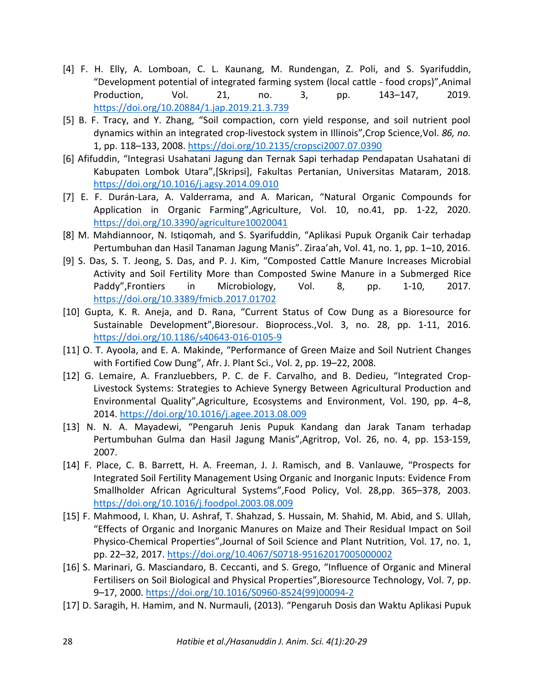- [4] F. H. Elly, A. Lomboan, C. L. Kaunang, M. Rundengan, Z. Poli, and S. Syarifuddin, "Development potential of integrated farming system (local cattle - food crops)",Animal Production, Vol. 21, no. 3, pp. 143–147, 2019. <https://doi.org/10.20884/1.jap.2019.21.3.739>
- [5] B. F. Tracy, and Y. Zhang, "Soil compaction, corn yield response, and soil nutrient pool dynamics within an integrated crop-livestock system in Illinois",Crop Science,Vol. *86, no.*  1, pp. 118–133, 2008.<https://doi.org/10.2135/cropsci2007.07.0390>
- [6] Afifuddin, "Integrasi Usahatani Jagung dan Ternak Sapi terhadap Pendapatan Usahatani di Kabupaten Lombok Utara",[Skripsi], Fakultas Pertanian, Universitas Mataram, 2018. <https://doi.org/10.1016/j.agsy.2014.09.010>
- [7] E. F. Durán-Lara, A. Valderrama, and A. Marican, "Natural Organic Compounds for Application in Organic Farming",Agriculture, Vol. 10, no.41, pp. 1-22, 2020. <https://doi.org/10.3390/agriculture10020041>
- [8] M. Mahdiannoor, N. Istiqomah, and S. Syarifuddin, "Aplikasi Pupuk Organik Cair terhadap Pertumbuhan dan Hasil Tanaman Jagung Manis". Ziraa'ah, Vol. 41, no. 1, pp. 1–10, 2016.
- [9] S. Das, S. T. Jeong, S. Das, and P. J. Kim, "Composted Cattle Manure Increases Microbial Activity and Soil Fertility More than Composted Swine Manure in a Submerged Rice Paddy",Frontiers in Microbiology, Vol. 8, pp. 1-10, 2017. <https://doi.org/10.3389/fmicb.2017.01702>
- [10] Gupta, K. R. Aneja, and D. Rana, "Current Status of Cow Dung as a Bioresource for Sustainable Development",Bioresour. Bioprocess.,Vol. 3, no. 28, pp. 1-11, 2016. <https://doi.org/10.1186/s40643-016-0105-9>
- [11] O. T. Ayoola, and E. A. Makinde, "Performance of Green Maize and Soil Nutrient Changes with Fortified Cow Dung", Afr. J. Plant Sci., Vol. 2, pp. 19–22, 2008.
- [12] G. Lemaire, A. Franzluebbers, P. C. de F. Carvalho, and B. Dedieu, "Integrated Crop-Livestock Systems: Strategies to Achieve Synergy Between Agricultural Production and Environmental Quality",Agriculture, Ecosystems and Environment, Vol. 190, pp. 4–8, 2014.<https://doi.org/10.1016/j.agee.2013.08.009>
- [13] N. N. A. Mayadewi, "Pengaruh Jenis Pupuk Kandang dan Jarak Tanam terhadap Pertumbuhan Gulma dan Hasil Jagung Manis",Agritrop, Vol. 26, no. 4, pp. 153-159, 2007.
- [14] F. Place, C. B. Barrett, H. A. Freeman, J. J. Ramisch, and B. Vanlauwe, "Prospects for Integrated Soil Fertility Management Using Organic and Inorganic Inputs: Evidence From Smallholder African Agricultural Systems",Food Policy, Vol. 28,pp. 365–378, 2003. <https://doi.org/10.1016/j.foodpol.2003.08.009>
- [15] F. Mahmood, I. Khan, U. Ashraf, T. Shahzad, S. Hussain, M. Shahid, M. Abid, and S. Ullah, "Effects of Organic and Inorganic Manures on Maize and Their Residual Impact on Soil Physico-Chemical Properties",Journal of Soil Science and Plant Nutrition, Vol. 17, no. 1, pp. 22–32, 2017.<https://doi.org/10.4067/S0718-95162017005000002>
- [16] S. Marinari, G. Masciandaro, B. Ceccanti, and S. Grego, "Influence of Organic and Mineral Fertilisers on Soil Biological and Physical Properties",Bioresource Technology, Vol. 7, pp. 9–17, 2000. [https://doi.org/10.1016/S0960-8524\(99\)00094-2](https://doi.org/10.1016/S0960-8524(99)00094-2)
- [17] D. Saragih, H. Hamim, and N. Nurmauli, (2013). "Pengaruh Dosis dan Waktu Aplikasi Pupuk